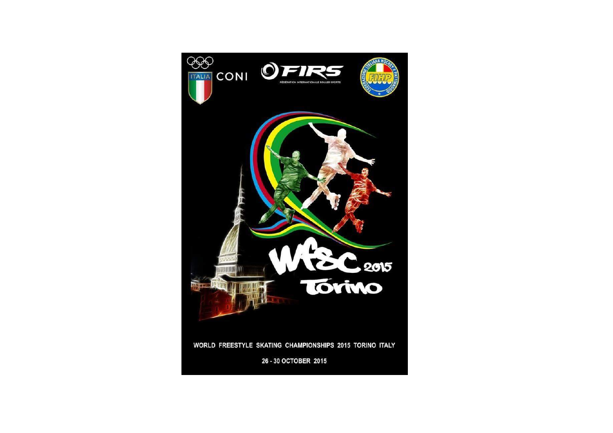